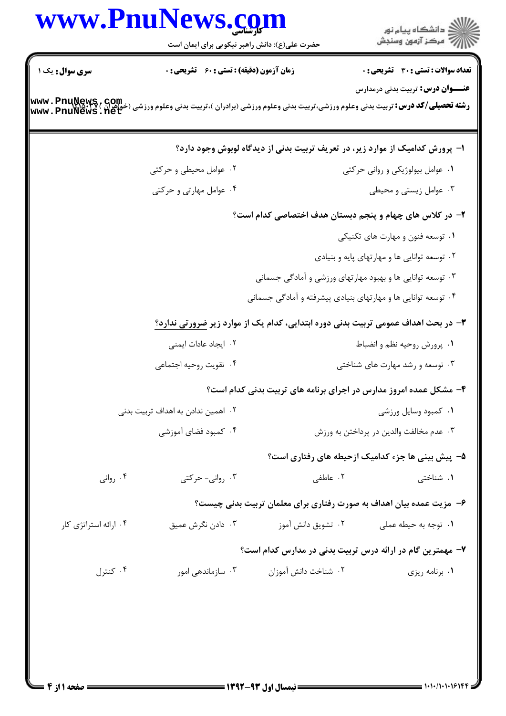## www.PnuNews.com اران<br>است دانشگاه پیام نور<br>است حضرت علی(ع): دانش راهبر نیکویی برای ایمان است **تعداد سوالات : تستی : 30 ٪ تشریحی : 0** سری سوال : یک ۱ **زمان آزمون (دقیقه) : تستی : 60 ٪ تشریحی: 0 عنـــوان درس:** تربیت بدنی درمدارس **www . PnuNews , Com.**<br>Www . PnuNews . net<br>Www . PnuNews . net ا– پرورش کدامیک از موارد زیر، در تعریف تربیت بدنی از دیدگاه لوبوش وجود دارد؟ ۰۲ عوامل محیطی و حرکتی ۰۱ عوامل بیولوژیکی و روانی حرکتی ۰۴ عوامل مهارتی و حرکتی ۰۳ عوامل زیستی و محیطی ۲– در کلاس های چهام و پنجم دبستان هدف اختصاصی کدام است؟ ۰۱ توسعه فنون و مهارت های تکنیکی ۰۲ توسعه توانایی ها و مهارتهای پایه و بنیادی ۰۳ توسعه توانایی ها و بهبود مهارتهای ورزشی و آمادگی جسمانی ۰۴ توسعه توانایی ها و مهارتهای بنیادی پیشرفته و آمادگی جسمانی ۳- در بحث اهداف عمومی تربیت بدنی دوره ابتدایی، کدام یک از موارد زیر ضرورتی ندارد؟ ۰۲ ایجاد عادات ایمنی ۰۱ پرورش روحیه نظم و انضباط ۰۳ توسعه و رشد مهارت های شناختی ۰۴ تقویت روحیه اجتماعی ۴- مشکل عمده امروز مدارس در اجرای برنامه های تربیت بدنی کدام است؟ ٠١ كمبود وسايل ورزشى ۰۲ اهمین ندادن به اهداف تربیت بدنی ۰۴ کمبود فضای آموزشی ۰۳ عدم مخالفت والدين در پرداختن به ورزش ۵– پیش بینی ها جزء کدامیک ازحیطه های رفتاری است؟ ۰۴ روانی ۰۳ روانی- حرکتی ۰۲ عاطفی ۰۱ شناختی ۶— مزیت عمده بیان اهداف به صورت رفتاری برای معلمان تربیت بدنی چیست؟ ۰۴ ارائه استراتژی کار ۰۳ دادن نگرش عمیق ۷– مهمترین گام در ارائه درس تربیت بدنی در مدارس کدام است؟ ۰۴ کنترل ۰۳ سازماندهی امور ۰۲ شناخت دانش آموزان ۰۱ برنامه ریزی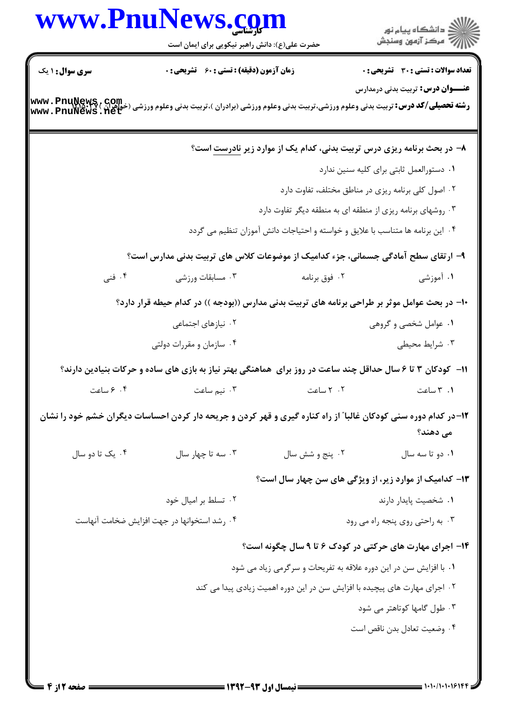|                                             | www.PnuNews.com                                                                                                                                             |                                                                                |                                                                                     |
|---------------------------------------------|-------------------------------------------------------------------------------------------------------------------------------------------------------------|--------------------------------------------------------------------------------|-------------------------------------------------------------------------------------|
|                                             | حضرت علی(ع): دانش راهبر نیکویی برای ایمان است                                                                                                               |                                                                                | ر<br>دانشڪاه پيام نور)<br>ا∛ مرڪز آزمون وسنڊش                                       |
| <b>سری سوال : ۱ یک</b>                      | <b>زمان آزمون (دقیقه) : تستی : 60 ٪ تشریحی : 0</b>                                                                                                          |                                                                                | <b>تعداد سوالات : تستی : 30 ٪ تشریحی : 0</b>                                        |
|                                             |                                                                                                                                                             |                                                                                | <b>عنــــوان درس:</b> تربیت بدنی درمدارس                                            |
|                                             | <b>رشته تحصیلی/کد درس:</b> تربیت بدنی وعلوم ورزشی،تربیت بدنی وعلوم ورزشی (برادران )،تربیت بدنی وعلوم ورزشی (خواهران ) www . PnuNews<br> www . PnuNews . net |                                                                                |                                                                                     |
|                                             |                                                                                                                                                             |                                                                                | ۸– در بحث برنامه ریزی درس تربیت بدنی، کدام یک از موارد زیر <mark>نادرست</mark> است؟ |
|                                             |                                                                                                                                                             |                                                                                | ٠١ دستورالعمل ثابتي براي كليه سنين ندارد                                            |
|                                             |                                                                                                                                                             |                                                                                | ۰۲ اصول کلی برنامه ریزی در مناطق مختلف، تفاوت دارد                                  |
|                                             |                                                                                                                                                             | ۰۳ روشهای برنامه ریزی از منطقه ای به منطقه دیگر تفاوت دارد                     |                                                                                     |
|                                             |                                                                                                                                                             | ۰۴ این برنامه ها متناسب با علایق و خواسته و احتیاجات دانش آموزان تنظیم می گردد |                                                                                     |
|                                             | ۹– ارتقای سطح آمادگی جسمانی، جزء کدامیک از موضوعات کلاس های تربیت بدنی مدارس است؟                                                                           |                                                                                |                                                                                     |
| ۰۴ فنی                                      | ۰۳ مسابقات ورزشی                                                                                                                                            | ۰۲ فوق برنامه                                                                  | ۰۱ آموزشی                                                                           |
|                                             | ∙۱− در بحث عوامل موثر بر طراحی برنامه های تربیت بدنی مدارس ((بودجه )) در کدام حیطه قرار دارد؟                                                               |                                                                                |                                                                                     |
|                                             | ۰۲ نیازهای اجتماعی                                                                                                                                          |                                                                                | ۰۱ عوامل شخصی و گروهی                                                               |
|                                             | ۰۴ سازمان و مقررات دولتی                                                                                                                                    |                                                                                | ۰۳ شرایط محیطی                                                                      |
|                                             | ۱۱– کودکان ۳ تا ۶ سال حداقل چند ساعت در روز برای  هماهنگی بهتر نیاز به بازی های ساده و حرکات بنیادین دارند؟                                                 |                                                                                |                                                                                     |
| ۰۲ ۶ ساعت                                   | ۰۳ نیم ساعت                                                                                                                                                 | ۰۲ ساعت                                                                        | ۰۱ ۳ ساعت                                                                           |
|                                             | ۱۲–در کدام دوره سنی کودکان غالبا ّ از راه کناره گیری و قهر کردن و جریحه دار کردن احساسات دیگران خشم خود را نشان                                             |                                                                                | می دهند؟                                                                            |
| ۰۴ یک تا دو سال                             | ۰۳ سه تا چهار سال                                                                                                                                           | ۰۲ پنج و شش سال                                                                | ۰۱ دو تا سه سال                                                                     |
|                                             |                                                                                                                                                             |                                                                                | ۱۳- کدامیک از موارد زیر، از ویژگی های سن چهار سال است؟                              |
|                                             | ۰۲ تسلط بر امیال خود                                                                                                                                        |                                                                                | ٠١. شخصيت پايدار دارند                                                              |
| ۰۴ رشد استخوانها در جهت افزايش ضخامت آنهاست |                                                                                                                                                             |                                                                                | ۰۳ به راحتی روی پنجه راه می رود                                                     |
|                                             |                                                                                                                                                             |                                                                                | ۱۴- اجرای مهارت های حرکتی در کودک ۶ تا ۹ سال چگونه است؟                             |
|                                             |                                                                                                                                                             | ۰۱ با افزایش سن در این دوره علاقه به تفریحات و سرگرمی زیاد می شود              |                                                                                     |
|                                             |                                                                                                                                                             | ۲ . اجرای مهارت های پیچیده با افزایش سن در این دوره اهمیت زیادی پیدا می کند    |                                                                                     |
|                                             |                                                                                                                                                             |                                                                                | ۰۳ طول گامها کوتاهتر می شود                                                         |
|                                             |                                                                                                                                                             |                                                                                | ۰۴ وضعیت تعادل بدن ناقص است                                                         |
|                                             |                                                                                                                                                             |                                                                                |                                                                                     |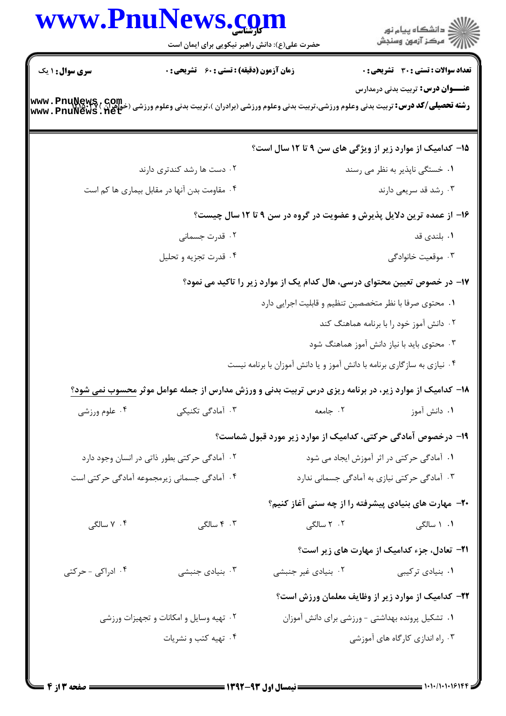|                        | www.PnuNews.com<br>حضرت علی(ع): دانش راهبر نیکویی برای ایمان است                                                                             |                                                                           | ر<br>دانشڪاه پيام نور)<br>ا∛ مرڪز آزمون وسنڊش             |  |
|------------------------|----------------------------------------------------------------------------------------------------------------------------------------------|---------------------------------------------------------------------------|-----------------------------------------------------------|--|
| <b>سری سوال : ۱ یک</b> | <b>زمان آزمون (دقیقه) : تستی : 60 ٪ تشریحی : 0</b>                                                                                           |                                                                           | <b>تعداد سوالات : تستی : 30 ٪ تشریحی : 0</b>              |  |
|                        | <b>رشته تحصیلی/کد درس:</b> تربیت بدنی وعلوم ورزشی،تربیت بدنی وعلوم ورزشی (برادران )،تربیت بدنی وعلوم ورزشی (خواهران )<br>Www . PnuNews . Net |                                                                           | <b>عنـــوان درس:</b> تربیت بدنی درمدارس                   |  |
|                        |                                                                                                                                              | ۱۵– کدامیک از موارد زیر از ویژگی های سن ۹ تا ۱۲ سال است؟                  |                                                           |  |
|                        | ۰۲ دست ها رشد کندتری دارند                                                                                                                   |                                                                           | ۰۱ خستگی ناپذیر به نظر می رسند                            |  |
|                        | ۰۴ مقاومت بدن آنها در مقابل بیماری ها کم است                                                                                                 |                                                                           | ۰۳ رشد قد سریعی دارند                                     |  |
|                        |                                                                                                                                              | ۱۶– از عمده ترین دلایل پذیرش و عضویت در گروه در سن ۹ تا ۱۲ سال چیست؟      |                                                           |  |
|                        | ۰۲ قدرت جسمانی                                                                                                                               |                                                                           | ۰۱ بلندی قد                                               |  |
|                        | ۰۴ قدرت تجزیه و تحلیل                                                                                                                        |                                                                           | ۰۳ موقعیت خانوادگی                                        |  |
|                        |                                                                                                                                              | ۱۷– در خصوص تعیین محتوای درسی، هال کدام یک از موارد زیر را تاکید می نمود؟ |                                                           |  |
|                        |                                                                                                                                              | ۰۱ محتوی صرفا با نظر متخصصین تنظیم و قابلیت اجرایی دارد                   |                                                           |  |
|                        |                                                                                                                                              |                                                                           | ۰۲ دانش آموز خود را با برنامه هماهنگ کند                  |  |
|                        |                                                                                                                                              |                                                                           | ۰۳ محتوی باید با نیاز دانش آموز هماهنگ شود                |  |
|                        |                                                                                                                                              | ۰۴ نیازی به سازگاری برنامه با دانش آموز و یا دانش آموزان با برنامه نیست   |                                                           |  |
|                        | ۱۸- کدامیک از موارد زیر، در برنامه ریزی درس تربیت بدنی و ورزش مدارس از جمله عوامل موثر <u>م</u> حسوب نمی شود؟                                |                                                                           |                                                           |  |
| ۰۴ علوم ورزشی          | ۰۳ آمادگی تکنیکی                                                                                                                             | . جامعه $\sim$ $\sim$                                                     | ۰۱ دانش آموز                                              |  |
|                        |                                                                                                                                              | ۱۹- درخصوص آمادگی حرکتی، کدامیک از موارد زیر مورد قبول شماست؟             |                                                           |  |
|                        | ۰۲ آمادگی حرکتی بطور ذاتی در انسان وجود دارد                                                                                                 |                                                                           | ٠١. آمادگی حرکتی در اثر آموزش ایجاد می شود                |  |
|                        | ۰۴ آمادگی جسمانی زیرمجموعه آمادگی حرکتی است                                                                                                  |                                                                           | ۰۳ آمادگی حرکتی نیازی به آمادگی جسمانی ندارد              |  |
|                        |                                                                                                                                              |                                                                           | ۲۰- مهارت های بنیادی پیشرفته را از چه سنی آغاز کنیم؟      |  |
| ۰۴ سالگی               | ۴. ۴ سالگی                                                                                                                                   | ۲. ۲ سالگی                                                                | ۰۱ ۱ سالگی                                                |  |
|                        |                                                                                                                                              |                                                                           | <b>۲۱</b> - تعادل، جزء کدامیک از مهارت های زیر است؟       |  |
| ۰۴ ادراکی - حرکتی      | ۰۳ بنیادی جنبشی                                                                                                                              | ۰۲ بنیادی غیر جنبشی                                                       | ۰۱ بنیادی ترکیبی                                          |  |
|                        |                                                                                                                                              |                                                                           | <b>۲۲</b> - کدامیک از موارد زیر از وظایف معلمان ورزش است؟ |  |
|                        | ۰۲ تهیه وسایل و امکانات و تجهیزات ورزشی                                                                                                      |                                                                           | ٠١. تشكيل پرونده بهداشتى - ورزشى براى دانش آموزان         |  |
|                        | ۰۴ تهیه کتب و نشریات                                                                                                                         |                                                                           | ۰۳ راه اندازی کارگاه های آموزشی                           |  |